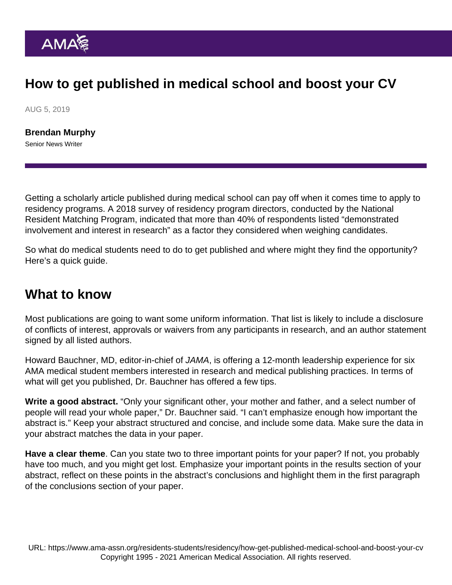## How to get published in medical school and boost your CV

AUG 5, 2019

[Brendan Murphy](https://www.ama-assn.org/news-leadership-viewpoints/authors-news-leadership-viewpoints/brendan-murphy) Senior News Writer

Getting a scholarly article published during medical school can pay off when it comes time to apply to residency programs. A 2018 survey of residency program directors, conducted by the National Resident Matching Program, indicated that more than 40% of respondents listed "demonstrated involvement and interest in research" as a factor they considered when weighing candidates.

So what do medical students need to do to get published and where might they find the opportunity? Here's a quick guide.

## What to know

Most publications are going to want some uniform information. That list is likely to include a disclosure of conflicts of interest, approvals or waivers from any participants in research, and an author statement signed by all listed authors.

Howard Bauchner, MD, editor-in-chief of JAMA, is offering [a 12-month leadership](https://www.ama-assn.org/system/files/2019-07/jama-student-member-resp.pdf) experience for six AMA medical student members interested in research and medical publishing practices. In terms of what will get you published, Dr. Bauchner has [offered a few tips.](https://www.ama-assn.org/residents-students/residency/how-get-your-research-published)

Write a good abstract. "Only your significant other, your mother and father, and a select number of people will read your whole paper," Dr. Bauchner said. "I can't emphasize enough how important the abstract is." Keep your abstract structured and concise, and include some data. Make sure the data in your abstract matches the data in your paper.

Have a clear theme . Can you state two to three important points for your paper? If not, you probably have too much, and you might get lost. Emphasize your important points in the results section of your abstract, reflect on these points in the abstract's conclusions and highlight them in the first paragraph of the conclusions section of your paper.